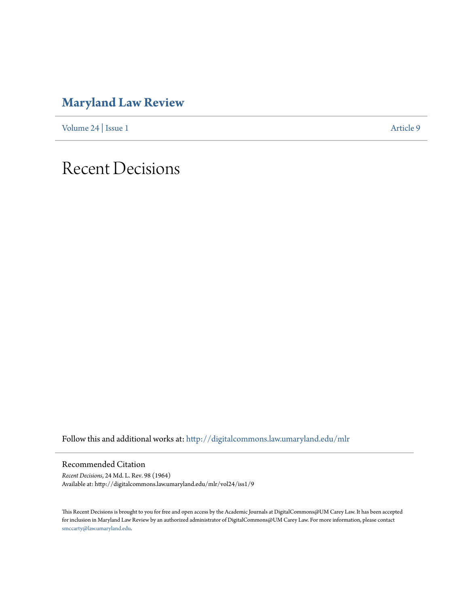## **[Maryland Law Review](http://digitalcommons.law.umaryland.edu/mlr?utm_source=digitalcommons.law.umaryland.edu%2Fmlr%2Fvol24%2Fiss1%2F9&utm_medium=PDF&utm_campaign=PDFCoverPages)**

[Volume 24](http://digitalcommons.law.umaryland.edu/mlr/vol24?utm_source=digitalcommons.law.umaryland.edu%2Fmlr%2Fvol24%2Fiss1%2F9&utm_medium=PDF&utm_campaign=PDFCoverPages) | [Issue 1](http://digitalcommons.law.umaryland.edu/mlr/vol24/iss1?utm_source=digitalcommons.law.umaryland.edu%2Fmlr%2Fvol24%2Fiss1%2F9&utm_medium=PDF&utm_campaign=PDFCoverPages) [Article 9](http://digitalcommons.law.umaryland.edu/mlr/vol24/iss1/9?utm_source=digitalcommons.law.umaryland.edu%2Fmlr%2Fvol24%2Fiss1%2F9&utm_medium=PDF&utm_campaign=PDFCoverPages)

## Recent Decisions

Follow this and additional works at: [http://digitalcommons.law.umaryland.edu/mlr](http://digitalcommons.law.umaryland.edu/mlr?utm_source=digitalcommons.law.umaryland.edu%2Fmlr%2Fvol24%2Fiss1%2F9&utm_medium=PDF&utm_campaign=PDFCoverPages)

Recommended Citation

*Recent Decisions*, 24 Md. L. Rev. 98 (1964) Available at: http://digitalcommons.law.umaryland.edu/mlr/vol24/iss1/9

This Recent Decisions is brought to you for free and open access by the Academic Journals at DigitalCommons@UM Carey Law. It has been accepted for inclusion in Maryland Law Review by an authorized administrator of DigitalCommons@UM Carey Law. For more information, please contact [smccarty@law.umaryland.edu.](mailto:smccarty@law.umaryland.edu)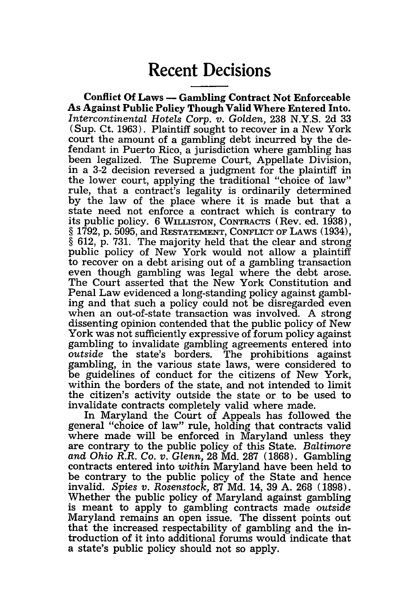## **Recent Decisions**

**Conflict Of Laws - Gambling Contract Not Enforceable As Against Public Policy Though Valid Where Entered Into.** *Intercontinental Hotels Corp. v. Golden,* 238 N.Y.S. 2d 33 (Sup. Ct. 1963). Plaintiff sought to recover in a New York court the amount of a gambling debt incurred by the defendant in Puerto Rico, a jurisdiction where gambling has been legalized. The Supreme Court, Appellate Division, in a 3-2 decision reversed a judgment for the plaintiff in the lower court, applying the traditional "choice of law" rule, that a contract's legality is ordinarily determined by the law of the place where it is made but that a state need not enforce a contract which is contrary to its public policy. **6** WILLISTON, **CONTRACTS** (Rev. ed. 1938), § 1792, p. 5095, and **RESTATEMENT, CONFLICT OF** LAWS (1934), § 612, p. 731. The majority held that the clear and strong public policy of New York would not allow a plaintiff to recover on a debt arising out of a gambling transaction even though gambling was legal where the debt arose. The Court asserted that the New York Constitution and Penal Law evidenced a long-standing policy against gambl- ing and that such a policy could not be disregarded even when an out-of-state transaction was involved. A strong dissenting opinion contended that the public policy of New York was not sufficiently expressive of forum policy against gambling to invalidate gambling agreements entered into *outside* the state's borders. The prohibitions against gambling, in the various state laws, were considered to be guidelines of conduct for the citizens of New York, within the borders of the state, and not intended to limit the citizen's activity outside the state or to be used to invalidate contracts completely valid where made.

In Maryland the Court of Appeals has followed the general "choice of law" rule, holding that contracts valid where made will be enforced in Maryland unless they are contrary to the public policy of this State. *Baltimore and Ohio R.R. Co. v. Glenn,* 28 Md. 287 (1868). Gambling contracts entered into *within* Maryland have been held to be contrary to the public policy of the State and hence invalid. *Spies v. Rosenstock,* 87 Md. 14, 39 A. 268 (1898). Whether the public policy of Maryland against gambling is meant to apply to gambling contracts made *outside* Maryland remains an open issue. The dissent points out that the increased respectability of gambling and the introduction of it into additional forums would indicate that a state's public policy should not so apply.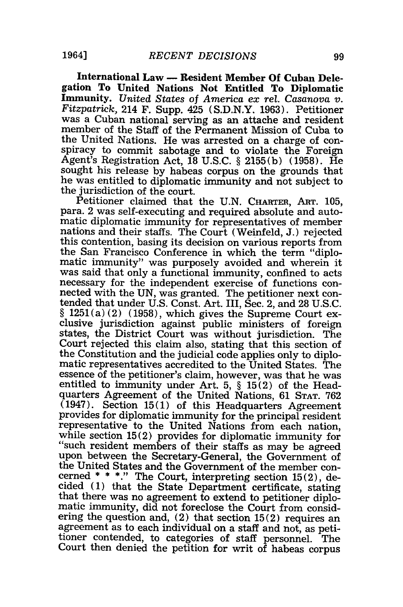International Law — Resident Member Of Cuban Delegation To United Nations Not Entitled To Diplomatic Immunity. United States of America ex rel. Casanova v. *Fitzpatrick,* 214 **F.** Supp. 425 **(S.D.N.Y. 1963).** Petitioner was a Cuban national serving as an attache and resident member of the Staff of the Permanent Mission of Cuba to the United Nations. He was arrested on a charge of con- $\tilde{Agent}$ 's Registration Act, 18 U.S.C. § 2155(b) (1958). He sought his release by habeas corpus on the grounds that he was entitled to diplomatic immunity and not subject to the jurisdiction of the court.

Petitioner claimed that the U.N. CHARTER, ART. 105, para. 2 was self-executing and required absolute and automatic diplomatic immunity for representatives of member nations and their staffs. The Court (Weinfeld, J.) rejected this contention, basing its decision on various reports from the San Francisco Conference in which the term "diplomatic immunity" was purposely avoided and wherein it was said that only a functional immunity, confined to acts necessary for the independent exercise of functions connected with the UN, was granted. The petitioner next contended that under U.S. Const. Art. III, Sec. 2, and 28 U.S.C.  $§ 1251(a)(2)$  (1958), which gives the Supreme Court exclusive jurisdiction against public ministers of foreign states, the District Court was without jurisdiction. The Court rejected this claim also, stating that this section of the Constitution and the judicial code applies only to diplo- matic representatives accredited to the United States. The essence of the petitioner's claim, however, was that he was entitled to immunity under Art. 5, § 15 (2) of the Headquarters Agreement of the United Nations, 61 **STAT. 762**  $(1947)$ . Section 15(1) of this Headquarters Agreement provides for diplomatic immunity for the principal resident representative to the United Nations from each nation, while section  $15(2)$  provides for diplomatic immunity for "such resident members of their staffs as may be agreed upon between the Secretary-General, the Government of the United States and the Government of the member concerned  $* * *$ ." The Court, interpreting section 15(2), decided (1) that the State Department certificate, stating that there was no agreement to extend to petitioner diplo- matic immunity, did not foreclose the Court from considering the question and,  $(2)$  that section  $15(2)$  requires an agreement as to each individual on a staff and not, as petitioner contended, to categories of staff personnel. The Court then denied the petition for writ of habeas corpus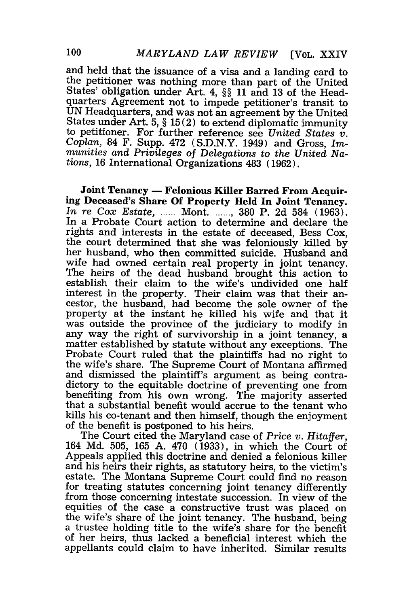and held that the issuance of a visa and a landing card to the petitioner was nothing more than part of the United States' obligation under Art. 4, §§ 11 and 13 of the Headquarters Agreement not to impede petitioner's transit to UN Headquarters, and was not an agreement by the United States under Art. 5, § 15(2) to extend diplomatic immunity to petitioner. For further reference see *United States v. Coplan,* 84 F. Supp. 472 (S.D.N.Y. 1949) and Gross, *Immunities and Privileges of Delegations to the United Nations,* 16 International Organizations 483 (1962).

Joint Tenancy **-** Felonious **Killer Barred From** Acquir- ing Deceased's Share **Of** Property Held In Joint Tenancy. *In re Cox Estate, ......* Mont *......*, 380 P. 2d 584 (1963). In a Probate Court action to determine and declare the rights and interests in the estate of deceased, Bess Cox, the court determined that she was feloniously killed by her husband, who then committed suicide. Husband and wife had owned certain real property in joint tenancy. The heirs of the dead husband brought this action to establish their claim to the wife's undivided one half interest in the property. Their claim was that their ancestor, the husband, had become the sole owner of the property at the instant he killed his wife and that it was outside the province of the judiciary to modify in any way the right of survivorship in a joint tenancy, a matter established by statute without any exceptions. The Probate Court ruled that the plaintiffs had no right to the wife's share. The Supreme Court of Montana affirmed and dismissed the plaintiff's argument as being contradictory to the equitable doctrine of preventing one from benefiting from his own wrong. The majority asserted that a substantial benefit would accrue to the tenant who kills his co-tenant and then himself, though the enjoyment of the benefit is postponed to his heirs.

The Court cited the Maryland case of *Price v. Hitaffer,* 164 Md. 505, 165 A. 470 (1933), in which the Court of Appeals applied this doctrine and denied a felonious killer and his heirs their rights, as statutory heirs, to the victim's estate. The Montana Supreme Court could find no reason for treating statutes concerning joint tenancy differently from those concerning intestate succession. In view of the equities of the case a constructive trust was placed on the wife's share of the joint tenancy. The husband, being a trustee holding title to the wife's share for the benefit of her heirs, thus lacked a beneficial interest which the appellants could claim to have inherited. Similar results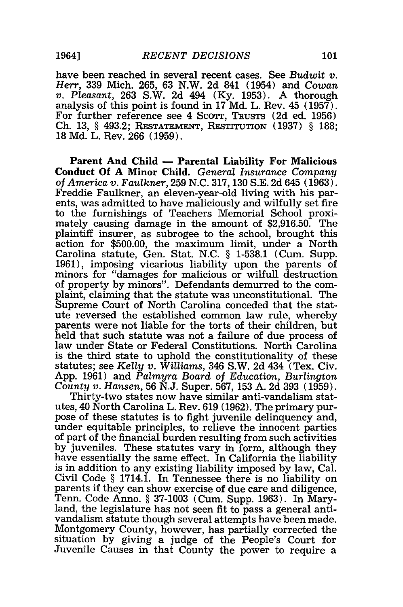have been reached in several recent cases. See *Budwit v. Herr,* 339 Mich. 265, 63 N.W. 2d 841 (1954) and *Cowan v. Pleasant,* **263** S.W. **2d** 494 **(Ky. 1953). A** thorough analysis of this point is found in 17 Md. L. Rev. 45 (1957).<br>For further reference see 4 SCOTT, TRUSTS (2d ed. 1956) For further reference see 4 Scourr, **TRUSTS** (2d ed. 1956) Ch. 13, § 493.2; **RESTATEMENT, RESTITUTION** (1937) § 188; **18 Md.** L. Rev. **266 (1959).**

Parent **And** Child **-** Parental Liability For Malicious Conduct **Of A** Minor Child. *General Insurance Company of America v. Faulkner,* **259 N.C. 317, 130 S.E. 2d** 645 **(1963).** Freddie Faulkner, an eleven-year-old living with his parents, was admitted to have maliciously and wilfully set fire to the furnishings of Teachers Memorial School proxi- mately causing damage in the amount of **\$2,916.50.** The plaintiff insurer, as subrogee to the school, brought this action for **\$500.00,** the maximum limit, under a North Carolina statute, Gen. Stat. **N.C.** § **1-538.1** (Cum. Supp. **1961),** imposing vicarious liability upon the parents of minors for "damages for malicious or wilfull destruction of property **by** minors". Defendants demurred to the complaint, claiming that the statute was unconstitutional. The Supreme Court of North Carolina conceded that the statute reversed the established common law rule, whereby parents were not liable for the torts of their children, but held that such statute was not a failure of due process of law under State or Federal Constitutions. North Carolina is the third state to uphold the constitutionality of these statutes; see *Kelly v. Williams,* 346 S.W. **2d** 434 (Tex. Civ. App. 1961) and *Palmyra Board of Education, Burlington County v. Hansen,* 56 N.J. Super. 567, 153 A. 2d 393 (1959).

Thirty-two states now have similar anti-vandalism statutes, 40 North Carolina L. Rev. 619 (1962). The primary purpose of these statutes is to fight juvenile delinquency and, under equitable principles, to relieve the innocent parties of part of the financial burden resulting from such activities by juveniles. These statutes vary in form, although they have essentially the same effect. In California the liability is in addition to any existing liability imposed by law, Cal. Civil Code § 1714.1. In Tennessee there is no liability on parents if they can show exercise of due care and diligence, Tenn. Code Anno. § 37-1003 (Cum. Supp. 1963). In Maryland, the legislature has not seen fit to pass a general antivandalism statute though several attempts have been made. Montgomery County, however, has partially corrected the situation by giving a judge of the People's Court for Juvenile Causes in that County the power to require a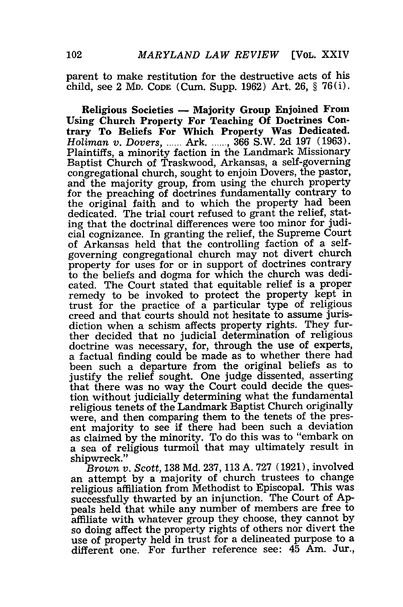parent to make restitution for the destructive acts of his child, see 2 MD. CODE (Cum. Supp. 1962) Art. 26, § 76(i).

Religious Societies **-** Majority Group Enjoined From Using Church Property For Teaching Of Doctrines Contrary To Beliefs For Which Property Was Dedicated. *Holiman v. Dovers,* **......** Ark **....... ,** 366 S.W. 2d 197 (1963). Plaintiffs, a minority faction in the Landmark Missionary Baptist Church of Traskwood, Arkansas, a self-governing congregational church, sought to enjoin Dovers, the pastor, and the majority group, from using the church property for the preaching of doctrines fundamentally contrary to the original faith and to which the property had been dedicated. The trial court refused to grant the relief, stating that the doctrinal differences were too minor for judicial cognizance. In granting the relief, the Supreme Court of Arkansas held that the controlling faction of a selfgoverning congregational church may not divert church property for uses for or in support of doctrines contrary to the beliefs and dogma for which the church was dedicated. The Court stated that equitable relief is a proper remedy to be invoked to protect the property kept in trust for the practice of a particular type of religious creed and that courts should not hesitate to assume jurisdiction when a schism affects property rights. They further decided that no judicial determination of religious doctrine was necessary, for, through the use of experts, a factual finding could be made as to whether there had been such a departure from the original beliefs as to justify the relief sought. One judge dissented, asserting that there was no way the Court could decide the question without judicially determining what the fundamental religious tenets of the Landmark Baptist Church originally were, and then comparing them to the tenets of the present majority to see if there had been such a deviation as claimed by the minority. To do this was to "embark on a sea of religious turmoil that may ultimately result in shipwreck."

*Brown v. Scott,* 138 Md. 237, 113 A. 727 (1921), involved an attempt by a majority of church trustees to change religious affiliation from Methodist to Episcopal. This was successfully thwarted by an injunction. The Court of Appeals held that while any number of members are free to affiliate with whatever group they choose, they cannot by so doing affect the property rights of others nor divert the use of property held in trust for a delineated purpose to a different one. For further reference see: 45 Am. Jur.,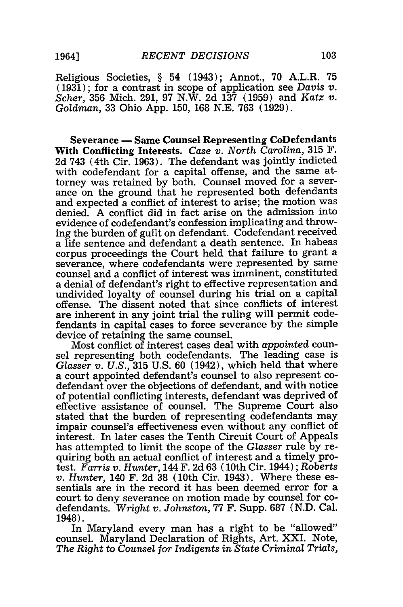Religious Societies, § 54 (1943); Annot., 70 A.L.R. 75 (1931); for a contrast in scope of application see *Davis v. Scher,* 356 Mich. 291, 97 N.W. 2d 137 (1959) and *Katz v. Goldman,* 33 Ohio App. 150, 168 N.E. 763 (1929).

**Severance - Same Counsel Representing CoDefendants With Conflicting Interests.** *Case v. North Carolina,* **315 F.** 2d 743 (4th Cir. **1963).** The defendant was jointly indicted with codefendant for a capital offense, and the same attorney was retained by both. Counsel moved for a severance on the ground that he represented both defendants and expected a conflict of interest to arise; the motion was denied. A conflict did in fact arise on the admission into evidence of codefendant's confession implicating and throwing the burden of guilt on defendant. Codefendant received a life sentence and defendant a death sentence. In habeas corpus proceedings the Court held that failure to grant a severance, where codefendants were represented by same counsel and a conflict of interest was imminent, constituted a denial of defendant's right to effective representation and undivided loyalty of counsel during his trial on a capital offense. The dissent noted that since conflicts of interest are inherent in any joint trial the ruling will permit codefendants in capital cases to force severance by the simple device of retaining the same counsel.

Most conflict of interest cases deal with *appointed* counsel representing both codefendants. The leading case is *Glasser v. U.S.,* 315 U.S. 60 (1942), which held that where a court appointed defendant's counsel to also represent codefendant over the objections of defendant, and with notice of potential conflicting interests, defendant was deprived of effective assistance of counsel. The Supreme Court also stated that the burden of representing codefendants may impair counsel's effectiveness even without any conflict of interest. In later cases the Tenth Circuit Court of Appeals has attempted to limit the scope of the *Glasser* rule by requiring both an actual conflict of interest and a timely protest. *Farris v. Hunter,* 144 F. 2d 63 (10th Cir. 1944); Roberts *v. Hunter,* 140 F. 2d 38 (10th Cir. 1943). Where these essentials are in the record it has been deemed error for a court to deny severance on motion made by counsel for codefendants. *Wright v. Johnston,* 77 F. Supp. 687 (N.D. Cal. 1948).

In Maryland every man has a right to be "allowed" counsel. Maryland Declaration of Rights, Art. XXI. Note, *The Right* to *Counsel for Indigents in State Criminal Trials,*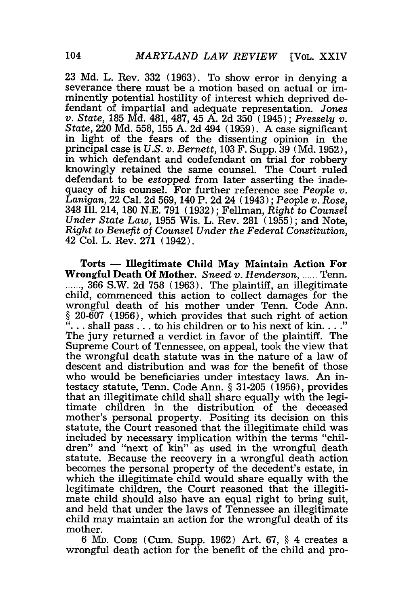23 Md. L. Rev. 332 (1963). To show error in denying a severance there must be a motion based on actual or imminently potential hostility of interest which deprived defendant of impartial and adequate representation. *Jones v. State,* 185 Md. 481, 487, 45 A. 2d 350 (1945); *Pressely v. State,* 220 Md. 558, 155 A. 2d 494 (1959). A case significant in light of the fears of the dissenting opinion in the principal case is *U.S. v. Bernett,* 103 F. Supp. 39 (Md. 1952), in which defendant and codefendant on trial for robbery knowingly retained the same counsel. The Court ruled defendant to be *estopped* from later asserting the inadequacy of his counsel. For further reference see *People v. Lanigan,* 22 Cal. 2d 569, 140 P. 2d 24 (1943) ; *People v. Rose,* 348 Ill. 214, 180 N.E. 791 (1932); Fellman, *Right* to *Counsel Under State Law,* 1955 Wis. L. Rev. 281 (1955); and Note, *Right to Benefit of Counsel Under the Federal Constitution,* 42 Col. L. Rev. 271 (1942).

Torts **- Illegitimate Child May Maintain Action For** Wrongful Death **Of** Mother. *Sneed v. Henderson, .....* Tenn. **......** , 366 S.W. 2d 758 (1963). The plaintiff, an illegitimate child, commenced this action to collect damages for the wrongful death of his mother under Tenn. Code Ann.  $\S$  20-607 (1956), which provides that such right of action "... shall pass ... to his children or to his next of kin...." The jury returned a verdict in favor of the plaintiff. The Supreme Court of Tennessee, on appeal, took the view that the wrongful death statute was in the nature of a law of descent and distribution and was for the benefit of those who would be beneficiaries under intestacy laws. An intestacy statute, Tenn. Code Ann. § 31-205 (1956), provides that an illegitimate child shall share equally with the legitimate children in the distribution of the deceased mother's personal property. Positing its decision on this statute, the Court reasoned that the illegitimate child was included by necessary implication within the terms "children" and "next of kin" as used in the wrongful death statute. Because the recovery in a wrongful death action becomes the personal property of the decedent's estate, in which the illegitimate child would share equally with the legitimate children, the Court reasoned that the illegitimate child should also have an equal right to bring suit, and held that under the laws of Tennessee an illegitimate child may maintain an action for the wrongful death of its mother.

6 MD. **CODE** (Cum. Supp. 1962) Art. 67, § 4 creates a wrongful death action for the benefit of the child and pro-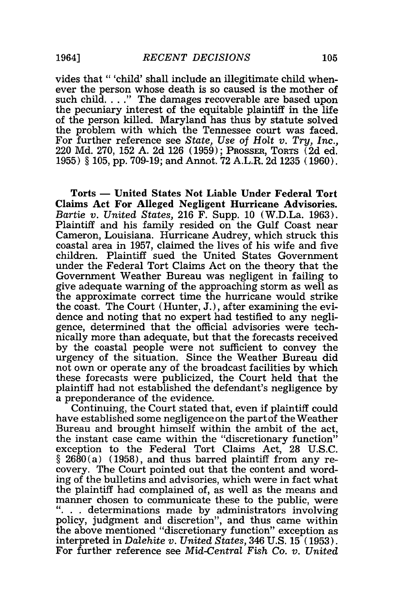vides that "'child' shall include an illegitimate child whenever the person whose death is so caused is the mother of such child **...** *.* The damages recoverable are based upon the pecuniary interest of the equitable plaintiff in the life of the person killed. Maryland has thus by statute solved the problem with which the Tennessee court was faced. For further reference see *State, Use of Holt v. Try, Inc.,* 220 Md. 270, 152 A. 2d 126 (1959); PROSSER, TORTS (2d ed. 1955) § 105, pp. 709-19; and Annot. 72 A.L.R. 2d 1235 (1960).

Torts **- United States Not Liable Under Federal Tort Claims Act For Alleged Negligent Hurricane Advisories.** *Bartie v. United States,* **216** F. Supp. **10** (W.D.La. **1963).** Plaintiff and his family resided on the Gulf Coast near Cameron, Louisiana. Hurricane Audrey, which struck this coastal area in **1957,** claimed the lives of his wife and five children. Plaintiff sued the United States Government under the Federal Tort Claims Act on the theory that the Government Weather Bureau was negligent in failing to give adequate warning of the approaching storm as well as the approximate correct time the hurricane would strike the coast. The Court (Hunter, **J.),** after examining the evidence and noting that no expert had testified to any negligence, determined that the official advisories were technically more than adequate, but that the forecasts received **by** the coastal people were not sufficient to convey the urgency of the situation. Since the Weather Bureau did not own or operate any of the broadcast facilities **by** which these forecasts were publicized, the Court held that the plaintiff had not established the defendant's negligence **by** a preponderance of the evidence.

Continuing, the Court stated that, even if plaintiff could have established some negligence on the part of the Weather Bureau and brought himself within the ambit of the act, the instant case came within the "discretionary function" exception to the Federal Tort Claims Act, **28 U.S.C.** § **2680(a) (1958),** and thus barred plaintiff from any recovery. The Court pointed out that the content and wording of the bulletins and advisories, which were in fact what the plaintiff had complained of, as well as the means and manner chosen to communicate these to the public, were  $\ldots$  determinations made by administrators involving policy, judgment and discretion", and thus came within the above mentioned "discretionary function" exception as interpreted in *Dalehite v. United States,* 346 **U.S. 15 (1953).** For further reference see *Mid-Central Fish Co. v. United*